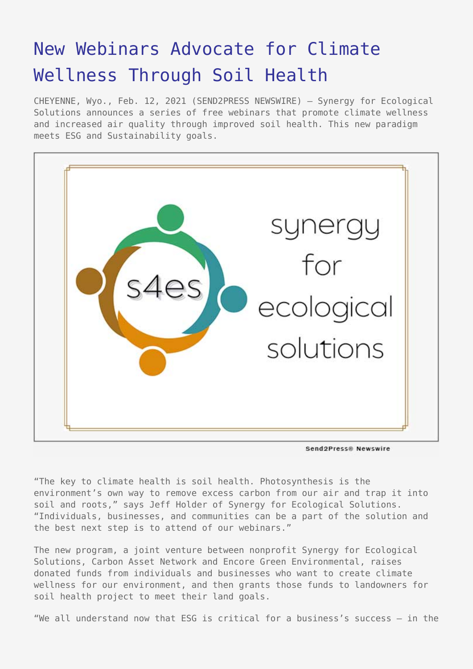## [New Webinars Advocate for Climate](https://www.send2press.com/wire/new-webinars-advocate-for-climate-wellness-through-soil-health/) [Wellness Through Soil Health](https://www.send2press.com/wire/new-webinars-advocate-for-climate-wellness-through-soil-health/)

CHEYENNE, Wyo., Feb. 12, 2021 (SEND2PRESS NEWSWIRE) — Synergy for Ecological Solutions announces a series of free webinars that promote climate wellness and increased air quality through improved soil health. This new paradigm meets ESG and Sustainability goals.



Send2Press® Newswire

"The key to climate health is soil health. Photosynthesis is the environment's own way to remove excess carbon from our air and trap it into soil and roots," says Jeff Holder of Synergy for Ecological Solutions. "Individuals, businesses, and communities can be a part of the solution and the best next step is to attend of our webinars."

The new program, a joint venture between nonprofit Synergy for Ecological Solutions, Carbon Asset Network and Encore Green Environmental, raises donated funds from individuals and businesses who want to create climate wellness for our environment, and then grants those funds to landowners for soil health project to meet their land goals.

"We all understand now that ESG is critical for a business's success – in the